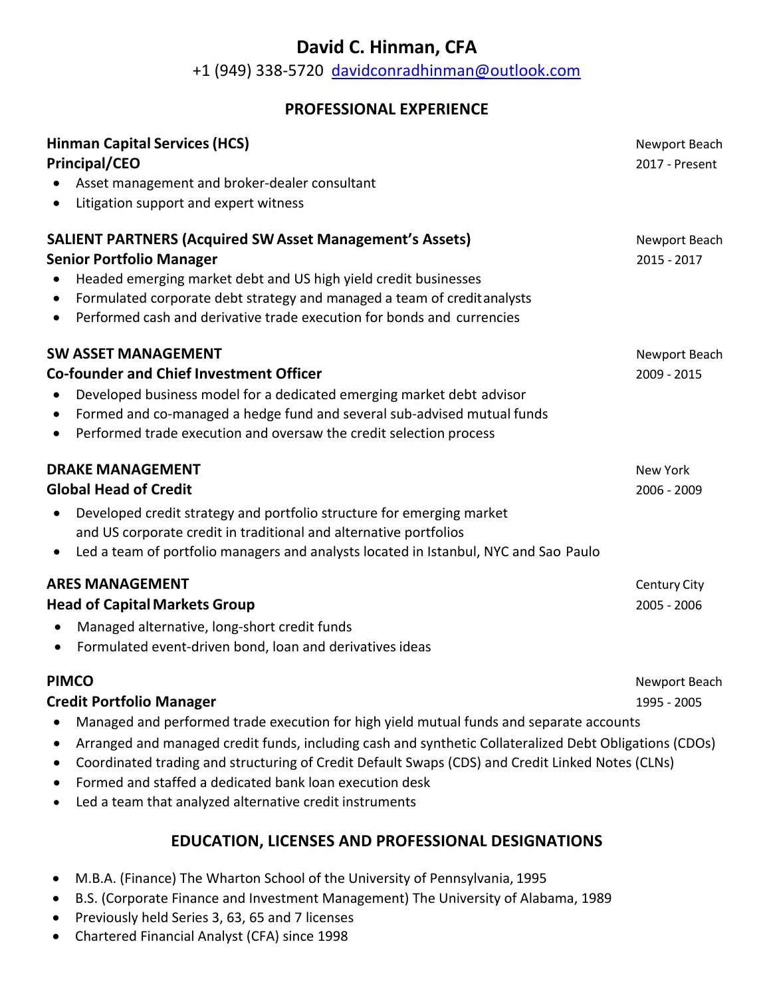# **David C. Hinman, CFA**

+1 (949) 338-5720 davidconradhinman@outlook.com

#### **PROFESSIONAL EXPERIENCE**

| <b>Hinman Capital Services (HCS)</b><br><b>Principal/CEO</b><br>Asset management and broker-dealer consultant<br>Litigation support and expert witness<br>$\bullet$                                                                                                                                                                                                                | Newport Beach<br>2017 - Present |
|------------------------------------------------------------------------------------------------------------------------------------------------------------------------------------------------------------------------------------------------------------------------------------------------------------------------------------------------------------------------------------|---------------------------------|
| <b>SALIENT PARTNERS (Acquired SW Asset Management's Assets)</b><br><b>Senior Portfolio Manager</b><br>Headed emerging market debt and US high yield credit businesses<br>Formulated corporate debt strategy and managed a team of credit analysts<br>$\bullet$<br>Performed cash and derivative trade execution for bonds and currencies<br>$\bullet$                              | Newport Beach<br>2015 - 2017    |
| <b>SW ASSET MANAGEMENT</b><br><b>Co-founder and Chief Investment Officer</b><br>Developed business model for a dedicated emerging market debt advisor<br>$\bullet$<br>Formed and co-managed a hedge fund and several sub-advised mutual funds<br>$\bullet$<br>Performed trade execution and oversaw the credit selection process<br>$\bullet$                                      | Newport Beach<br>2009 - 2015    |
| <b>DRAKE MANAGEMENT</b><br><b>Global Head of Credit</b><br>Developed credit strategy and portfolio structure for emerging market<br>$\bullet$<br>and US corporate credit in traditional and alternative portfolios<br>Led a team of portfolio managers and analysts located in Istanbul, NYC and Sao Paulo<br>$\bullet$                                                            | New York<br>2006 - 2009         |
| <b>ARES MANAGEMENT</b><br><b>Head of Capital Markets Group</b><br>Managed alternative, long-short credit funds<br>Formulated event-driven bond, loan and derivatives ideas<br>$\bullet$                                                                                                                                                                                            | Century City<br>2005 - 2006     |
| <b>PIMCO</b><br><b>Credit Portfolio Manager</b><br>Managed and performed trade execution for high yield mutual funds and separate accounts<br>Arranged and managed credit funds, including cash and synthetic Collateralized Debt Obligations (CDOs)<br>$\bullet$<br>Coordinated trading and structuring of Credit Default Swaps (CDS) and Credit Linked Notes (CLNs)<br>$\bullet$ | Newport Beach<br>1995 - 2005    |

- Formed and staffed a dedicated bank loan execution desk
- Led a team that analyzed alternative credit instruments

# **EDUCATION, LICENSES AND PROFESSIONAL DESIGNATIONS**

- M.B.A. (Finance) The Wharton School of the University of Pennsylvania, 1995
- B.S. (Corporate Finance and Investment Management) The University of Alabama, 1989
- Previously held Series 3, 63, 65 and 7 licenses
- Chartered Financial Analyst (CFA) since 1998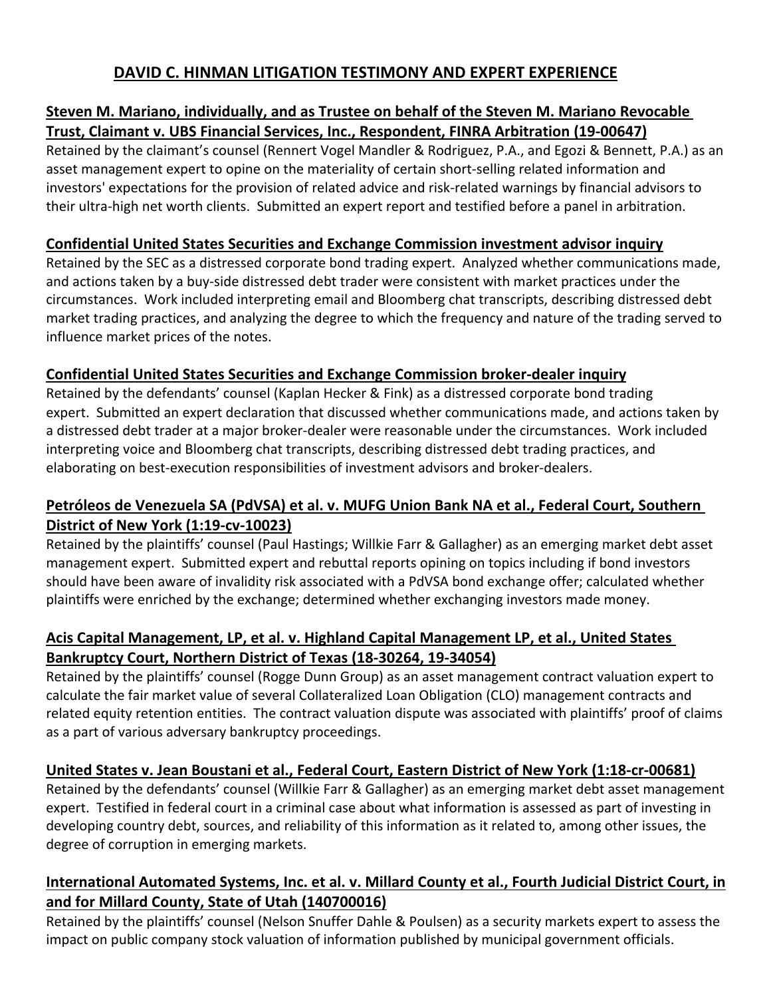# **DAVID C. HINMAN LITIGATION TESTIMONY AND EXPERT EXPERIENCE**

#### **Steven M. Mariano, individually, and as Trustee on behalf of the Steven M. Mariano Revocable Trust, Claimant v. UBS Financial Services, Inc., Respondent, FINRA Arbitration (19-00647)**

Retained by the claimant's counsel (Rennert Vogel Mandler & Rodriguez, P.A., and Egozi & Bennett, P.A.) as an asset management expert to opine on the materiality of certain short-selling related information and investors' expectations for the provision of related advice and risk-related warnings by financial advisors to their ultra-high net worth clients. Submitted an expert report and testified before a panel in arbitration.

#### **Confidential United States Securities and Exchange Commission investment advisor inquiry**

Retained by the SEC as a distressed corporate bond trading expert. Analyzed whether communications made, and actions taken by a buy-side distressed debt trader were consistent with market practices under the circumstances. Work included interpreting email and Bloomberg chat transcripts, describing distressed debt market trading practices, and analyzing the degree to which the frequency and nature of the trading served to influence market prices of the notes.

#### **Confidential United States Securities and Exchange Commission broker-dealer inquiry**

Retained by the defendants' counsel (Kaplan Hecker & Fink) as a distressed corporate bond trading expert. Submitted an expert declaration that discussed whether communications made, and actions taken by a distressed debt trader at a major broker-dealer were reasonable under the circumstances. Work included interpreting voice and Bloomberg chat transcripts, describing distressed debt trading practices, and elaborating on best-execution responsibilities of investment advisors and broker-dealers.

# **Petróleos de Venezuela SA (PdVSA) et al. v. MUFG Union Bank NA et al., Federal Court, Southern District of New York (1:19-cv-10023)**

Retained by the plaintiffs' counsel (Paul Hastings; Willkie Farr & Gallagher) as an emerging market debt asset management expert. Submitted expert and rebuttal reports opining on topics including if bond investors should have been aware of invalidity risk associated with a PdVSA bond exchange offer; calculated whether plaintiffs were enriched by the exchange; determined whether exchanging investors made money.

# **Acis Capital Management, LP, et al. v. Highland Capital Management LP, et al., United States Bankruptcy Court, Northern District of Texas (18-30264, 19-34054)**

Retained by the plaintiffs' counsel (Rogge Dunn Group) as an asset management contract valuation expert to calculate the fair market value of several Collateralized Loan Obligation (CLO) management contracts and related equity retention entities. The contract valuation dispute was associated with plaintiffs' proof of claims as a part of various adversary bankruptcy proceedings.

# **United States v. Jean Boustani et al., Federal Court, Eastern District of New York (1:18-cr-00681)**

Retained by the defendants' counsel (Willkie Farr & Gallagher) as an emerging market debt asset management expert. Testified in federal court in a criminal case about what information is assessed as part of investing in developing country debt, sources, and reliability of this information as it related to, among other issues, the degree of corruption in emerging markets.

# **International Automated Systems, Inc. et al. v. Millard County et al., Fourth Judicial District Court, in and for Millard County, State of Utah (140700016)**

Retained by the plaintiffs' counsel (Nelson Snuffer Dahle & Poulsen) as a security markets expert to assess the impact on public company stock valuation of information published by municipal government officials.